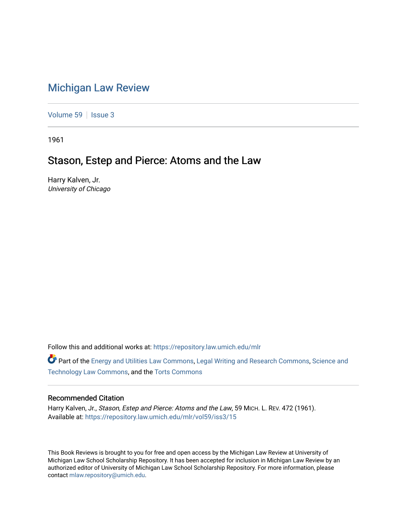## [Michigan Law Review](https://repository.law.umich.edu/mlr)

[Volume 59](https://repository.law.umich.edu/mlr/vol59) | [Issue 3](https://repository.law.umich.edu/mlr/vol59/iss3)

1961

## Stason, Estep and Pierce: Atoms and the Law

Harry Kalven, Jr. University of Chicago

Follow this and additional works at: [https://repository.law.umich.edu/mlr](https://repository.law.umich.edu/mlr?utm_source=repository.law.umich.edu%2Fmlr%2Fvol59%2Fiss3%2F15&utm_medium=PDF&utm_campaign=PDFCoverPages) 

Part of the [Energy and Utilities Law Commons,](http://network.bepress.com/hgg/discipline/891?utm_source=repository.law.umich.edu%2Fmlr%2Fvol59%2Fiss3%2F15&utm_medium=PDF&utm_campaign=PDFCoverPages) [Legal Writing and Research Commons](http://network.bepress.com/hgg/discipline/614?utm_source=repository.law.umich.edu%2Fmlr%2Fvol59%2Fiss3%2F15&utm_medium=PDF&utm_campaign=PDFCoverPages), Science and [Technology Law Commons,](http://network.bepress.com/hgg/discipline/875?utm_source=repository.law.umich.edu%2Fmlr%2Fvol59%2Fiss3%2F15&utm_medium=PDF&utm_campaign=PDFCoverPages) and the [Torts Commons](http://network.bepress.com/hgg/discipline/913?utm_source=repository.law.umich.edu%2Fmlr%2Fvol59%2Fiss3%2F15&utm_medium=PDF&utm_campaign=PDFCoverPages) 

## Recommended Citation

Harry Kalven, Jr., Stason, Estep and Pierce: Atoms and the Law, 59 MICH. L. REV. 472 (1961). Available at: [https://repository.law.umich.edu/mlr/vol59/iss3/15](https://repository.law.umich.edu/mlr/vol59/iss3/15?utm_source=repository.law.umich.edu%2Fmlr%2Fvol59%2Fiss3%2F15&utm_medium=PDF&utm_campaign=PDFCoverPages) 

This Book Reviews is brought to you for free and open access by the Michigan Law Review at University of Michigan Law School Scholarship Repository. It has been accepted for inclusion in Michigan Law Review by an authorized editor of University of Michigan Law School Scholarship Repository. For more information, please contact [mlaw.repository@umich.edu](mailto:mlaw.repository@umich.edu).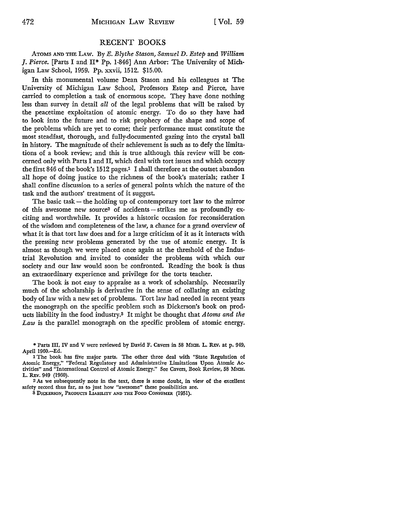## RECENT BOOKS

ATOMS AND THE LAW. By *E. Blythe Stason, Samuel D. Estep* and *lf'illiam ]. Pierce.* [Parts I and II\* Pp. 1-846] Ann Arbor: The University of **Mich**igan Law School, 1959. Pp. xxvii, 1512. \$15.00.

In this monumental volume Dean Stason and his colleagues at The University of Michigan Law School, Professors Estep and Pierce, have carried to completion a task of enormous scope. They have done nothing less than survey in detail *all* of the legal problems that will be raised by the peacetime exploitation of atomic energy. To do so they have had to look into the future and to risk prophecy of the shape and scope of the problems which are yet to come; their performance must constitute the most steadfast, thorough, and fully-documented gazing into the crystal ball in history. The magnitude of their achievement is such as to defy the limitations of a book review; and this is true although this review will be concerned only with Parts I and II, which deal with tort issues and which occupy the first 846 of the book's 1512 pages.<sup>1</sup> I shall therefore at the outset abandon all hope of doing justice to the richness of the book's materials; rather I shall confine discussion to a series of general points which the nature of the task and the authors' treatment of it suggest.

The basic task  $-$  the holding up of contemporary tort law to the mirror of this awesome new source<sup>2</sup> of accidents - strikes me as profoundly exciting and worthwhile. It provides a historic occasion for reconsideration of the wisdom and completeness of the law, a chance for a grand overview of what it is that tort law does and for a large criticism of it as it interacts with the pressing new problems generated by the use of atomic energy. It is almost as though we were placed once again at the threshold of the Industrial Revolution and invited to consider the problems with which our society and our law would soon be confronted. Reading the book is thus an extraordinary experience and privilege for the torts teacher.

The book is not easy to appraise as a work of scholarship. Necessarily much of the scholarship is derivative in the sense of collating an existing body of law with a new set of problems. Tort law had needed in recent years the monograph on the specific problem such as Dickerson's book on products liability in the food industry.3 It might be thought that *Atoms and the Law* is the parallel monograph on the specific problem of atomic energy.

<sup>\*</sup> Parts III, IV and V were reviewed by David F. Cavers in 58 MICH. L. REV. at p. 949, April 1960.-Ed.

<sup>1</sup> The book has five major parts. The other three deal with "State Regulation of Atomic Energy," "Federal Regulatory and Administrative Limitations Upon Atomic Activities" and "International Control of Atomic Energy." See Cavers, Book Review, 58 MICH. L. REv. 949 (1960).

<sup>2</sup> As we subsequently note in the text, there is some doubt, in view of the excellent safety record thus far, as to just how "awesome" these possibilities are.

<sup>3</sup> DICKERSON, PRODUCTS LIABILITY AND THE FOOD CONSUMER (1951).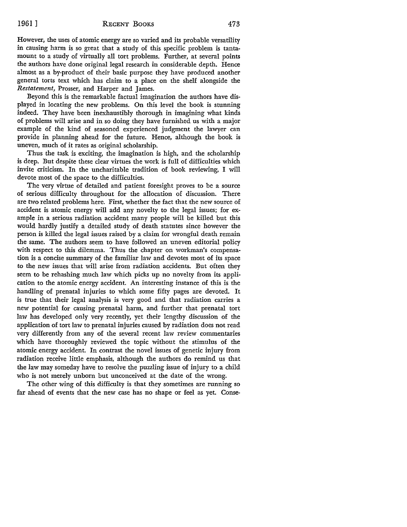However, the uses of atomic energy are so varied and its probable versatility in causing harm is so great that a study of this specific problem is tantamount to a study of virtually all tort problems. Further, at several points the authors have done original legal research in considerable depth. Hence almost as a by-product of their basic purpose they have produced another general torts text which has claim to a place on the shelf alongside the *Restatement,* Prosser, and Harper and James.

Beyond this is the remarkable factual imagination the authors have displayed in locating the new problems. On this level the book is stunning indeed. They have been inexhaustibly thorough in imagining what kinds of problems will arise and in so doing they have furnished us with a major example of the kind of seasoned experienced judgment the lawyer can provide in planning ahead for the future. Hence, although the book is uneven, much of it rates as original scholarship.

Thus the task is exciting, the imagination is high, and the scholarship is deep. But despite these clear virtues the work is full of difficulties which invite criticism. In the uncharitable tradition of book reviewing, I will devote most of the space to the difficulties.

The very virtue of detailed and patient foresight proves to be a source of serious difficulty throughout for the allocation of discussion. There are two related problems here. First, whether the fact that the new source of accident is atomic energy will add any novelty to the legal issues; for example in a serious radiation accident many people will be killed but this would hardly justify a detailed study of death statutes since however the person is killed the legal issues raised by a claim for wrongful death remain the same. The authors seem to have followed an uneven editorial policy with respect to this dilemma. Thus the chapter on workman's compensation is a concise summary of the familiar law and devotes most of its space to the new issues that will arise from radiation accidents. But often they seem to be rehashing much law which picks up no novelty from its application to the atomic energy accident. An interesting instance of this is the handling of prenatal injuries to which some fifty pages are devoted. It is true that their legal analysis is very good and that radiation carries a new potential for causing prenatal harm, and further that prenatal tort law has developed only very recently, yet their lengthy discussion of the application of tort law to prenatal injuries caused by radiation does not read very differently from any of the several recent law review commentaries which have thoroughly reviewed the topic without the stimulus of the atomic energy accident. In contrast the novel issues of genetic injury from radiation receive little emphasis, although the authors do remind us that the law may someday have to resolve the puzzling issue of injury to a child who is not merely unborn but unconceived at the date of the wrong.

The other wing of this difficulty is that they sometimes are running so far ahead of events that the new case has no shape or feel as yet. Conse-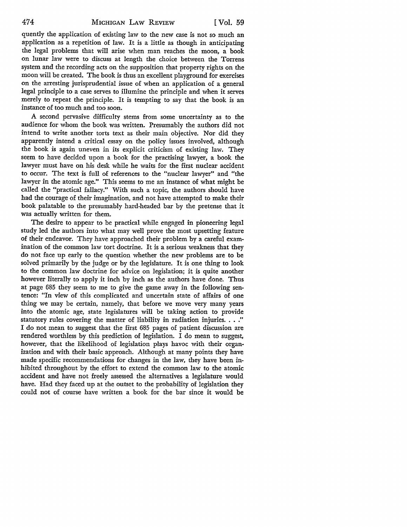quently the application of existing law to the new case is not so much an application as a repetition of law. It is a little as though in anticipating the legal problems that will arise when man reaches the moon, a book on lunar law were to discuss at length the choice between the Torrens system and the recording acts on the supposition that property rights on the moon will be created. The book is thus an excellent playground for exercises on the arresting jurisprudential issue of when an application of a general legal principle to a case serves to illumine the principle and when it serves merely to repeat the principle. It is tempting to say that the book is an instance of too much and too soon.

A second pervasive difficulty stems from some uncertainty as *to* the audience for whom the book was written. Presumably the authors did not intend *to* write another torts text as their main objective. Nor did they apparently intend a critical essay on the policy issues involved, although the book is again uneven in its explicit criticism of existing law. They seem *to* have decided upon a book for the practising lawyer, a book the lawyer must have on his desk while he waits for the first nuclear accident *to* occur. The text is full of references to the "nuclear lawyer" and "the lawyer in the atomic age." This seems to me an instance of what might be called the "practical fallacy." With such a topic, the authors should have had the courage of their imagination, and not have attempted to make their book palatable to the presumably hard-headed bar by the pretense that it was actually written for them.

The desire to appear to be practical while engaged in pioneering legal study led the authors into what may well prove the most upsetting feature of their endeavor. They have approached their problem by a careful examination of the common law tort doctrine. It is a serious weakness that they do not face up early to the question whether the new problems are *to* be solved primarily by the judge or by the legislature. It is one thing *to* look to the common law doctrine for advice on legislation; it is quite another however literally to apply it inch by inch as the authors have done. Thus at page 685 they seem to me to give the game away in the following sentence: "In view of this complicated and uncertain state of affairs of one thing we may be certain, namely, that before we move very many years into the atomic age, state legislatures will be taking action to provide statutory rules covering the matter of liability in radiation injuries. . . ." I do not mean to suggest that the first 685 pages of patient discussion are rendered worthless by this prediction of legislation. I do mean to suggest, however, that the likelihood of legislation plays havoc with their organization and with their basic approach. Although at many points they have made specific recommendations for changes in the law, they have been inhibited throughout by the effort to extend the common law to the atomic accident and have not freely assessed the alternatives a legislature would have. Had they faced up at the outset to the probability of legislation they could not of course have written a book for the bar since it would be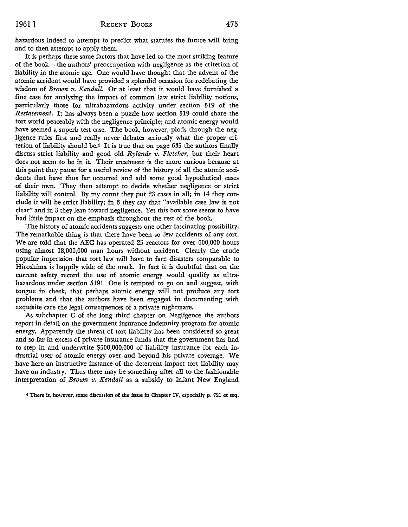hazardous indeed to attempt to predict what statutes the future will bring and to then attempt to apply them.

It is perhaps these same factors that have led to the most striking feature of the book - the authors' preoccupation with negligence as the criterion of liability in the atomic age. One would have thought that the advent of the atomic accident would have provided a splendid occasion for redebating the wisdom of *Brown v. Kendall.* Or at least that it would have furnished a fine case for analysing the impact of common law strict liability notions, particularly those for ultrahazardous activity under section 519 of the *Restatement.* It has always been a puzzle how section 519 could share the tort world peaceably with the negligence principle; and atomic energy would have seemed a superb test case. The book, however, plods through the negligence rules first and really never debates seriously what the proper criterion of liability should be.4 It is true that on page 635 the authors finally discuss strict liability and good old *Rylands v. Fletcher,* but their heart does not seem to be in it. Their treatment is the more curious because at this point they pause for a useful review of the history of all the atomic accidents that have thus far occurred and add some good hypothetical cases of their own. They then attempt to decide whether negligence or strict liability will control. By my count they put 23 cases in all; in 14 they conclude it will be strict liability; in 6 they say that "available case law is not clear" and in 3 they lean toward negligence. Yet this box score seems to have had little impact on the emphasis throughout the rest of the book.

The history of atomic accidents suggests one other fascinating possibility. The remarkable thing is that there have been so few accidents of any sort. We are told that the AEC has operated 25 reactors for over 600,000 hours using almost 18,000,000 man hours without accident. Clearly the crude popular impression that tort law will have to face disasters comparable to Hiroshima is happily wide of the mark. In fact it is doubtful that on the current safety record the use of atomic energy would qualify as ultrahazardous under section 5191 One is tempted to go on and suggest, with tongue in cheek, that perhaps atomic energy will not produce any tort problems and that the authors have been engaged in documenting with exquisite care the legal consequences of a private nightmare.

As subchapter C of the long third chapter on Negligence the authors report in detail on the government insurance indemnity program for atomic energy. Apparently the threat of tort liability has been considered so great and so far in excess of private insurance funds that the government has had to step in and undenvrite \$500,000,000 of liability insurance for each industrial user of atomic energy over and beyond his private coverage. We have here an instructive instance of the deterrent impact tort liability may have on industry. Thus there may be something after all to the fashionable interpretation of *Brown v. Kendall* as a subsidy to infant New England

4 There is, however, some discussion of the issue in Chapter IV, especially p. 721 et seq.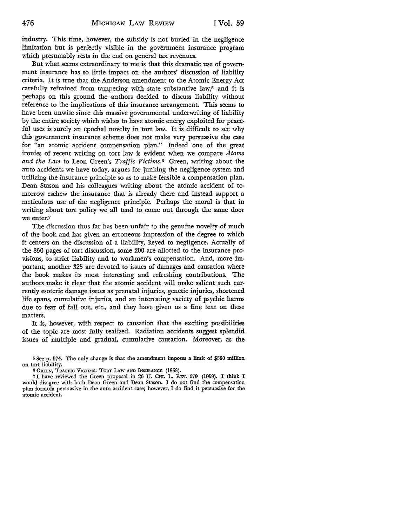industry. This time, however, the subsidy is not buried in the negligence limitation but is perfectly visible in the government insurance program which presumably rests in the end on general tax revenues.

But what seems extraordinary to me is that this dramatic use of government insurance has so little impact on the authors' discussion of liability criteria. It is true that the Anderson amendment to the Atomic Energy Act carefully refrained from tampering with state substantive law, $5$  and it is perhaps on this ground the authors decided to discuss liability without reference to the implications of this insurance arrangement. This seems to have been unwise since this massive governmental underwriting of liability by the entire society which wishes to have atomic energy exploited for peaceful uses is surely an epochal novelty in tort law. It is difficult to see why this government insurance scheme does not make very persuasive the case for "an atomic accident compensation plan." Indeed one of the great ironies of recent writing on tort law is evident when we compare *A toms and the Law* to Leon Green's *Traffic Victims.6* Green, writing about the auto accidents we have today, argues for junking the negligence system and utilizing the insurance principle so as to make feasible a compensation plan. Dean Stason and his colleagues writing about the atomic accident of tomorrow eschew the insurance that is already there and instead support a meticulous use of the negligence principle. Perhaps the moral is that in writing about tort policy we all tend to come out through the same door we enter.<sup>7</sup>

The discussion thus far has been unfair to the genuine novelty of much of the book and has given an erroneous impression of the degree to which it centers on the discussion of a liability, keyed to negligence. Actually of the 850 pages of tort discussion, some 200 are allotted to the insurance provisions, to strict liability and to workmen's compensation. And, more important, another 325 are devoted to issues of damages and causation where the book makes its most interesting and refreshing contributions. The authors make it clear that the atomic accident will make salient such currently esoteric damage issues as prenatal injuries, genetic injuries, shortened life spans, cumulative injuries, and an interesting variety of psychic harms due to fear of fall out, etc., and they have given us a fine text on these matters.

It is, however, with respect to causation that the exciting possibilities of the topic are most fully realized. Radiation accidents suggest splendid issues of multiple and gradual, cumulative causation. Moreover, as the

5 See p. 574. The only change is that the amendment imposes a limit of \$560 million on tort liability.

6 GREEN, TRAFFIC VICTIMS: TORT LAW AND INSURANCE (1958).

<sup>7</sup>I have reviewed the Green proposal in 26 U. Cm. L. REv. 679 (1959). I think I would disagree with both Dean Green and Dean Stason. I do not find the compensation plan formula persuasive in the auto accident case; however, I do find it persuasive for the atomic accident.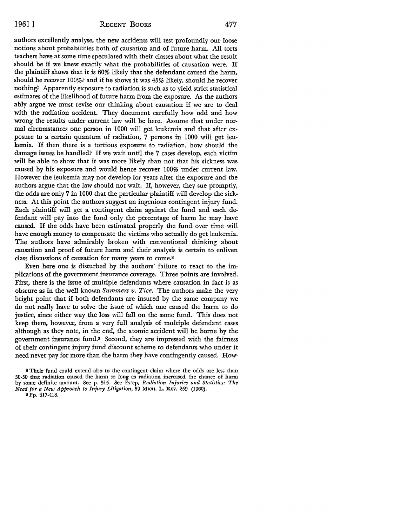authors excellently analyse, the new accidents will test profoundly our loose notions about probabilities both of causation and of future harm. All torts teachers have at some time speculated with their classes about what the result should be if we knew exactly what the probabilities of causation were. If the plaintiff shows that it is 60% likely that the defendant caused the harm, should he recover 100%? and if he shows it was 45% likely, should he recover nothing? Apparently exposure to radiation is such as to yield strict statistical estimates of the likelihood of future harm from the exposure. As the authors ably argue we must revise our thinking about causation if we are to deal with the radiation accident. They document carefully how odd and how wrong the results under current law will be here. Assume that under normal circumstances one person in 1000 will get leukemia and that after exposure to a certain quantum of radiation, 7 persons in 1000 will get leukemia. If then there is a tortious exposure to radiation, how should the damage issues be handled? If we wait until the 7 cases develop, each victim will be able to show that it was more likely than not that his sickness was caused by his exposure and would hence recover 100% under current law. However the leukemia may not develop for years after the exposure and the authors argue that the law should not wait. If, however, they sue promptly, the odds are only 7 in 1000 that the particular plaintiff will develop the sickness. *At* this point the authors suggest an ingenious contingent injury fund. Each plaintiff will get a contingent claim against the fund and each defendant will pay into the fund only the percentage of harm he may have caused. If the odds have been estimated properly the fund over time will have enough money to compensate the victims who actually do get leukemia. The authors have admirably broken with conventional thinking about causation and proof of future harm and their analysis is certain to enliven class discussions of causation for many years to come.<sup>8</sup>

Even here one is disturbed by the authors' failure *to* react to the implications of the government insurance coverage. Three points are involved. First, there is the issue of multiple defendants where causation in fact is as obscure as in the well known *Summers v. Tice.* The authors make the very bright point that if both defendants are insured by the same company we do not really have *to* solve the issue of which one caused the harm to do justice, since either way the loss will fall on the same fund. This does not keep them, however, from a very full analysis of multiple defendant cases although as they note, in the end, the atomic accident will be borne by the government insurance fund.9 Second, they are impressed with the fairness of their contingent injury fund discount scheme to defendants who under it need never pay for more than the harm they have contingently caused. How-

<sup>8</sup> Their fund could extend also to the contingent claim where the odds are less than 50-50 that radiation caused the harm so long as radiation increased the chance of harm by some definite amount. See p. 515. See Estep, *Radiation Injuries and Statistics: The Need for a New Approach to Injury Litigation,* 59 MICH. L. REv. 259 (1960). o Pp. 417-418.